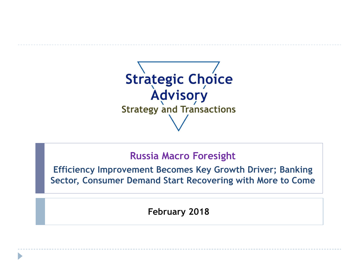

## **Russia Macro Foresight**

**Efficiency Improvement Becomes Key Growth Driver; Banking Sector, Consumer Demand Start Recovering with More to Come**

**February 2018**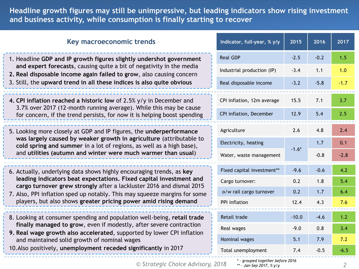**Headline growth figures may still be unimpressive, but leading indicators show rising investment and business activity, while consumption is finally starting to recover**

| Key macroeconomic trends                                                                                                                                                                                                 | Indicator, full-year, % y/y | 2015    | 2016   | 2017   |
|--------------------------------------------------------------------------------------------------------------------------------------------------------------------------------------------------------------------------|-----------------------------|---------|--------|--------|
| 1. Headline GDP and IP growth figures slightly undershot government                                                                                                                                                      | <b>Real GDP</b>             | $-2.5$  | $-0.2$ | 1.5    |
| and expert forecasts, causing quite a bit of negativity in the media<br>2. Real disposable income again failed to grow, also causing concern                                                                             | Industrial production (IP)  | $-3.4$  | 1.1    | 1.0    |
| 3. Still, the upward trend in all these indices is also quite obvious                                                                                                                                                    | Real disposable income      | $-3.2$  | $-5.8$ | $-1.7$ |
| 4. CPI inflation reached a historic low of 2.5% y/y in December and                                                                                                                                                      | CPI inflation, 12m average  | 15.5    | 7.1    | 3.7    |
| 3.7% over 2017 (12-month running average). While this may be cause<br>for concern, if the trend persists, for now it is helping boost spending                                                                           | CPI inflation, December     | 12.9    | 5.4    | 2.5    |
| 5. Looking more closely at GDP and IP figures, the underperformance                                                                                                                                                      | Agriculture                 | 2.6     | 4.8    | 2.4    |
| was largely caused by weaker growth in agriculture (attributable to<br>cold spring and summer in a lot of regions, as well as a high base),<br>and utilities (autumn and winter were much warmer than usual)             | Electricity, heating        |         | 1.7    | 0.1    |
|                                                                                                                                                                                                                          | Water, waste management     | $-1.6*$ | $-0.8$ | $-2.8$ |
| 6. Actually, underlying data shows highly encouraging trends, as key                                                                                                                                                     | Fixed capital investment**  | $-9.6$  | $-0.6$ | 4.2    |
| leading indicators beat expectations. Fixed capital investment and<br>cargo turnover grew strongly after a lackluster 2016 and dismal 2015                                                                               | Cargo turnover:             | 0.2     | 1.8    | 5.4    |
| 7. Also, PPI inflation sped up notably. This may squeeze margins for some                                                                                                                                                | o/w rail cargo turnover     | 0.2     | 1.7    | 6.4    |
| players, but also shows greater pricing power amid rising demand                                                                                                                                                         | PPI inflation               | 12.4    | 4.3    | 7.6    |
| 8. Looking at consumer spending and population well-being, retail trade<br>finally managed to grow, even if modestly, after severe contraction<br>9. Real wage growth also accelerated, supported by lower CPI inflation | Retail trade                | $-10.0$ | $-4.6$ | 1.2    |
|                                                                                                                                                                                                                          | Real wages                  | $-9.0$  | 0.8    | 3.4    |
| and maintained solid growth of nominal wages                                                                                                                                                                             | Nominal wages               | 5.1     | 7.9    | 7.2    |
| 10. Also positively, unemployment receded significantly in 2017                                                                                                                                                          | Total unemployment          | 7.4     | $-0.5$ | $-6.5$ |

*© Strategic Choice Advisory, 2018 2*

*\* - grouped together before 2016 \*\* - Jan-Sep 2017, % y/y*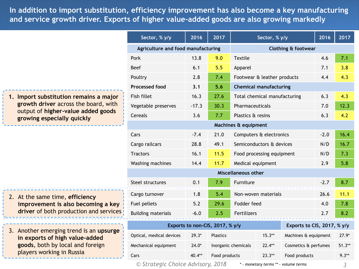**Table of contents and service growth driver. Exports of higher value-added goods are also growing markedly In addition to import substitution, efficiency improvement has also become a key manufacturing** 

|                                                                                                                                                    | Sector, % y/y                      | 2016                        | $\overline{2017}$              |                                                         | Sector, % y/y |                      | 2016     | 2017    |
|----------------------------------------------------------------------------------------------------------------------------------------------------|------------------------------------|-----------------------------|--------------------------------|---------------------------------------------------------|---------------|----------------------|----------|---------|
|                                                                                                                                                    | Agriculture and food manufacturing |                             | <b>Clothing &amp; footwear</b> |                                                         |               |                      |          |         |
|                                                                                                                                                    | Pork                               | 13.8                        | 9.0                            | <b>Textile</b>                                          |               |                      | 4.6      | 7.1     |
|                                                                                                                                                    | <b>Beef</b>                        | 6.1                         | 5.5                            | Apparel<br>Footwear & leather products                  |               |                      | 7.1      | 3.8     |
|                                                                                                                                                    | Poultry                            | 2.8                         | 7.4                            |                                                         |               |                      | 4.4      | 4.3     |
|                                                                                                                                                    | <b>Processed food</b>              | 3.1                         | 5.6                            | <b>Chemical manufacturing</b>                           |               |                      |          |         |
| 1. Import substitution remains a major<br>growth driver across the board, with<br>output of higher-value added goods<br>growing especially quickly | Fish fillet                        | 16.3                        | 27.6                           | Total chemical manufacturing                            |               |                      | 6.3      | 4.3     |
|                                                                                                                                                    | Vegetable preserves                | $-17.3$                     | 30.3                           | Pharmaceuticals                                         |               |                      | 7.0      | 12.3    |
|                                                                                                                                                    | Cereals                            | 3.6                         | 7.7                            | Plastics & resins                                       |               |                      | 6.3      | 4.2     |
|                                                                                                                                                    | Machines & equipment               |                             |                                |                                                         |               |                      |          |         |
|                                                                                                                                                    | Cars                               | $-7.4$                      | 21.0                           | Computers & electronics                                 |               |                      | $-2.0$   | 16.4    |
|                                                                                                                                                    | Cargo railcars<br>28.8<br>49.1     |                             | Semiconductors & devices       |                                                         |               | N/D                  | 16.7     |         |
|                                                                                                                                                    | <b>Tractors</b>                    | 16.1                        | 11.5                           | Food processing equipment<br>Medical equipment          |               |                      | N/D      | 7.3     |
|                                                                                                                                                    | Washing machines                   | 14.4                        | 11.7                           |                                                         |               |                      | 2.9      | 5.8     |
|                                                                                                                                                    | Miscellaneous other                |                             |                                |                                                         |               |                      |          |         |
|                                                                                                                                                    | Steel structures                   | 0.1                         | 7.9                            | Furniture                                               |               |                      | $-2.7$   | 8.7     |
| 2. At the same time, efficiency<br>improvement is also becoming a key<br>driver of both production and services                                    | Cargo turnover                     | 1.8                         | 5.4                            | Non-woven materials                                     |               |                      | 26.6     | 11.1    |
|                                                                                                                                                    | Fuel pellets                       | 5.2                         | 29.6                           | Fodder feed                                             |               |                      | 4.0      | 7.8     |
|                                                                                                                                                    | <b>Building materials</b>          | $-6.0$                      | 2.5                            | Fertilizers                                             |               |                      | 2.7      | 8.2     |
| 3. Another emerging trend is an upsurge<br>in exports of high value-added<br>goods, both by local and foreign<br>players working in Russia         | Exports to non-CIS, 2017, % y/y    | Exports to CIS, 2017, % y/y |                                |                                                         |               |                      |          |         |
|                                                                                                                                                    | Optical, medical devices           | $29.3*$                     | Plastics                       | $15.3**$                                                |               | Machines & equipment |          | $27.9*$ |
|                                                                                                                                                    | Mechanical equipment               | $24.0*$                     |                                | Inorganic chemicals<br>$22.4**$<br>Cosmetics & perfumes |               |                      | $51.3**$ |         |
|                                                                                                                                                    | Cars                               | 40.4**                      | Food products                  | $23.3**$                                                |               | Food products        |          | $9.3**$ |

*© Strategic Choice Advisory, 2018*

*\* - monetary terms \*\* - volume terms*

*3*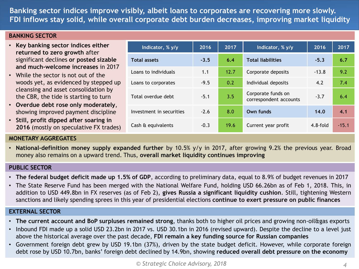**Banking sector indices improve visibly, albeit loans to corporates are recovering more slowly. FDI inflows stay solid, while overall corporate debt burden decreases, improving market liquidity**

**Indicator, % y/y 2016 2017 Indicator, % y/y 2016 2017**

**Total assets -3.5 6.4 Total liabilities -5.3 6.7**

Loans to individuals 1.1 12.7 Corporate deposits 13.8 9.2

Loans to corporates  $-9.5$  0.2 Individual deposits 4.2 7.4

Investment in securities -2.6 8.0 **Own funds 14.0 4.1**

Cash & equivalents -0.3 19.6 Current year profit 4.8-fold -15.1

correspondent accounts -3.7 6.4

Total overdue debt -5.1 3.5 Corporate funds on

#### **BANKING SECTOR**

- **Key banking sector indices either returned to zero growth** after significant declines **or posted sizable and much-welcome increases** in 2017
- While the sector is not out of the woods yet, as evidenced by stepped up cleansing and asset consolidation by the CBR, the tide is starting to turn
- **Overdue debt rose only moderately**, showing improved payment discipline
- **Still, profit dipped after soaring in 2016** (mostly on speculative FX trades)

#### **MONETARY AGGREGATES**

• **National-definition money supply expanded further** by 10.5% y/y in 2017, after growing 9.2% the previous year. Broad money also remains on a upward trend. Thus, **overall market liquidity continues improving**

#### **PUBLIC SECTOR**

- **The federal budget deficit made up 1.5% of GDP**, according to preliminary data, equal to 8.9% of budget revenues in 2017
- The State Reserve Fund has been merged with the National Welfare Fund, holding USD 66.26bn as of Feb 1, 2018. This, in addition to USD 449.8bn in FX reserves (as of Feb 2), **gives Russia a significant liquidity cushion**. Still, tightening Western sanctions and likely spending sprees in this year of presidential elections **continue to exert pressure on public finances**

#### **EXTERNAL SECTOR**

- **The current account and BoP surpluses remained strong**, thanks both to higher oil prices and growing non-oil&gas exports
- Inbound FDI made up a solid USD 23.2bn in 2017 vs. USD 30.1bn in 2016 (revised upward). Despite the decline to a level just above the historical average over the past decade, **FDI remain a key funding source for Russian companies**
- Government foreign debt grew by USD 19.1bn (37%), driven by the state budget deficit. However, while corporate foreign debt rose by USD 10.7bn, banks' foreign debt declined by 14.9bn, showing **reduced overall debt pressure on the economy**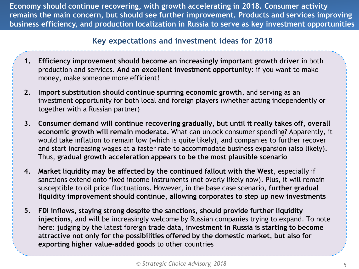**Economy should continue recovering, with growth accelerating in 2018. Consumer activity remains the main concern, but should see further improvement. Products and services improving business efficiency, and production localization in Russia to serve as key investment opportunities** 

### **Key expectations and investment ideas for 2018**

- **1. Efficiency improvement should become an increasingly important growth driver** in both production and services. **And an excellent investment opportunity**: if you want to make money, make someone more efficient!
- **2. Import substitution should continue spurring economic growth**, and serving as an investment opportunity for both local and foreign players (whether acting independently or together with a Russian partner)
- **3. Consumer demand will continue recovering gradually, but until it really takes off, overall economic growth will remain moderate.** What can unlock consumer spending? Apparently, it would take inflation to remain low (which is quite likely), and companies to further recover and start increasing wages at a faster rate to accommodate business expansion (also likely). Thus, **gradual growth acceleration appears to be the most plausible scenario**
- **4. Market liquidity may be affected by the continued fallout with the West**, especially if sanctions extend onto fixed income instruments (not overly likely now). Plus, it will remain susceptible to oil price fluctuations. However, in the base case scenario, **further gradual liquidity improvement should continue, allowing corporates to step up new investments**
- **5. FDI inflows, staying strong despite the sanctions, should provide further liquidity injections,** and will be increasingly welcome by Russian companies trying to expand. To note here: judging by the latest foreign trade data, **investment in Russia is starting to become attractive not only for the possibilities offered by the domestic market, but also for exporting higher value-added goods** to other countries